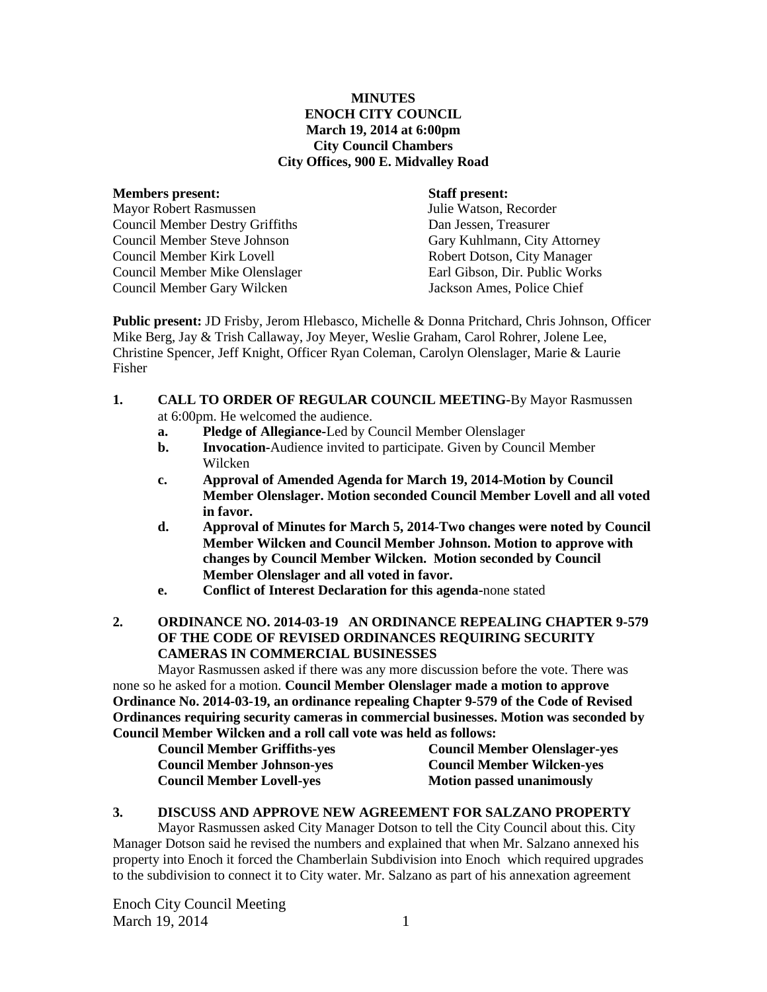## **MINUTES ENOCH CITY COUNCIL March 19, 2014 at 6:00pm City Council Chambers City Offices, 900 E. Midvalley Road**

#### **Members present: Staff present:**

Mayor Robert Rasmussen Julie Watson, Recorder Council Member Destry Griffiths Dan Jessen, Treasurer Council Member Steve Johnson Gary Kuhlmann, City Attorney Council Member Kirk Lovell Robert Dotson, City Manager Council Member Mike Olenslager Earl Gibson, Dir. Public Works Council Member Gary Wilcken Jackson Ames, Police Chief

**Public present:** JD Frisby, Jerom Hlebasco, Michelle & Donna Pritchard, Chris Johnson, Officer Mike Berg, Jay & Trish Callaway, Joy Meyer, Weslie Graham, Carol Rohrer, Jolene Lee, Christine Spencer, Jeff Knight, Officer Ryan Coleman, Carolyn Olenslager, Marie & Laurie Fisher

- **1. CALL TO ORDER OF REGULAR COUNCIL MEETING-**By Mayor Rasmussen at 6:00pm. He welcomed the audience.
	- **a. Pledge of Allegiance-**Led by Council Member Olenslager
	- **b. Invocation-**Audience invited to participate. Given by Council Member Wilcken
	- **c. Approval of Amended Agenda for March 19, 2014-Motion by Council Member Olenslager. Motion seconded Council Member Lovell and all voted in favor.**
	- **d. Approval of Minutes for March 5, 2014-Two changes were noted by Council Member Wilcken and Council Member Johnson. Motion to approve with changes by Council Member Wilcken. Motion seconded by Council Member Olenslager and all voted in favor.**
	- **e. Conflict of Interest Declaration for this agenda-**none stated

## **2. ORDINANCE NO. 2014-03-19 AN ORDINANCE REPEALING CHAPTER 9-579 OF THE CODE OF REVISED ORDINANCES REQUIRING SECURITY CAMERAS IN COMMERCIAL BUSINESSES**

Mayor Rasmussen asked if there was any more discussion before the vote. There was none so he asked for a motion. **Council Member Olenslager made a motion to approve Ordinance No. 2014-03-19, an ordinance repealing Chapter 9-579 of the Code of Revised Ordinances requiring security cameras in commercial businesses. Motion was seconded by Council Member Wilcken and a roll call vote was held as follows:**

| г наспост тансисп ана а гон сан тогс мая нега ая гономя. |                                      |
|----------------------------------------------------------|--------------------------------------|
| <b>Council Member Griffiths-yes</b>                      | <b>Council Member Olenslager-yes</b> |
| <b>Council Member Johnson-yes</b>                        | <b>Council Member Wilcken-yes</b>    |
| <b>Council Member Lovell-yes</b>                         | <b>Motion passed unanimously</b>     |

## **3. DISCUSS AND APPROVE NEW AGREEMENT FOR SALZANO PROPERTY**

Mayor Rasmussen asked City Manager Dotson to tell the City Council about this. City Manager Dotson said he revised the numbers and explained that when Mr. Salzano annexed his property into Enoch it forced the Chamberlain Subdivision into Enoch which required upgrades to the subdivision to connect it to City water. Mr. Salzano as part of his annexation agreement

Enoch City Council Meeting March 19, 2014 1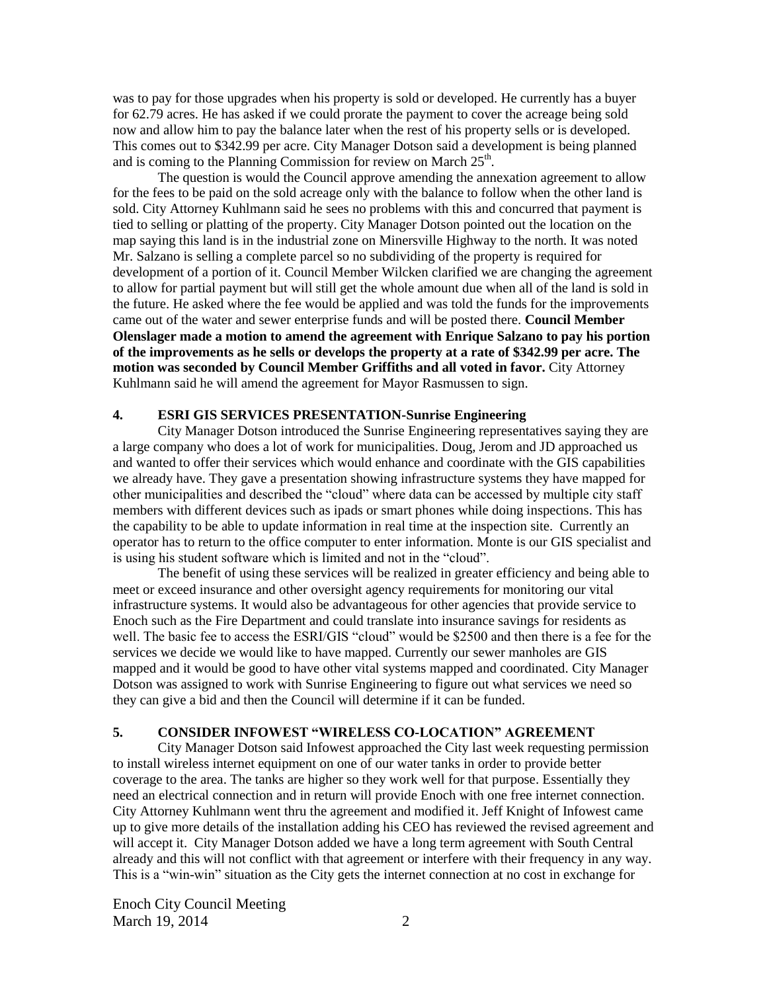was to pay for those upgrades when his property is sold or developed. He currently has a buyer for 62.79 acres. He has asked if we could prorate the payment to cover the acreage being sold now and allow him to pay the balance later when the rest of his property sells or is developed. This comes out to \$342.99 per acre. City Manager Dotson said a development is being planned and is coming to the Planning Commission for review on March  $25<sup>th</sup>$ .

The question is would the Council approve amending the annexation agreement to allow for the fees to be paid on the sold acreage only with the balance to follow when the other land is sold. City Attorney Kuhlmann said he sees no problems with this and concurred that payment is tied to selling or platting of the property. City Manager Dotson pointed out the location on the map saying this land is in the industrial zone on Minersville Highway to the north. It was noted Mr. Salzano is selling a complete parcel so no subdividing of the property is required for development of a portion of it. Council Member Wilcken clarified we are changing the agreement to allow for partial payment but will still get the whole amount due when all of the land is sold in the future. He asked where the fee would be applied and was told the funds for the improvements came out of the water and sewer enterprise funds and will be posted there. **Council Member Olenslager made a motion to amend the agreement with Enrique Salzano to pay his portion of the improvements as he sells or develops the property at a rate of \$342.99 per acre. The motion was seconded by Council Member Griffiths and all voted in favor.** City Attorney Kuhlmann said he will amend the agreement for Mayor Rasmussen to sign.

### **4. ESRI GIS SERVICES PRESENTATION-Sunrise Engineering**

City Manager Dotson introduced the Sunrise Engineering representatives saying they are a large company who does a lot of work for municipalities. Doug, Jerom and JD approached us and wanted to offer their services which would enhance and coordinate with the GIS capabilities we already have. They gave a presentation showing infrastructure systems they have mapped for other municipalities and described the "cloud" where data can be accessed by multiple city staff members with different devices such as ipads or smart phones while doing inspections. This has the capability to be able to update information in real time at the inspection site. Currently an operator has to return to the office computer to enter information. Monte is our GIS specialist and is using his student software which is limited and not in the "cloud".

The benefit of using these services will be realized in greater efficiency and being able to meet or exceed insurance and other oversight agency requirements for monitoring our vital infrastructure systems. It would also be advantageous for other agencies that provide service to Enoch such as the Fire Department and could translate into insurance savings for residents as well. The basic fee to access the ESRI/GIS "cloud" would be \$2500 and then there is a fee for the services we decide we would like to have mapped. Currently our sewer manholes are GIS mapped and it would be good to have other vital systems mapped and coordinated. City Manager Dotson was assigned to work with Sunrise Engineering to figure out what services we need so they can give a bid and then the Council will determine if it can be funded.

### **5. CONSIDER INFOWEST "WIRELESS CO-LOCATION" AGREEMENT**

City Manager Dotson said Infowest approached the City last week requesting permission to install wireless internet equipment on one of our water tanks in order to provide better coverage to the area. The tanks are higher so they work well for that purpose. Essentially they need an electrical connection and in return will provide Enoch with one free internet connection. City Attorney Kuhlmann went thru the agreement and modified it. Jeff Knight of Infowest came up to give more details of the installation adding his CEO has reviewed the revised agreement and will accept it. City Manager Dotson added we have a long term agreement with South Central already and this will not conflict with that agreement or interfere with their frequency in any way. This is a "win-win" situation as the City gets the internet connection at no cost in exchange for

Enoch City Council Meeting March 19, 2014 2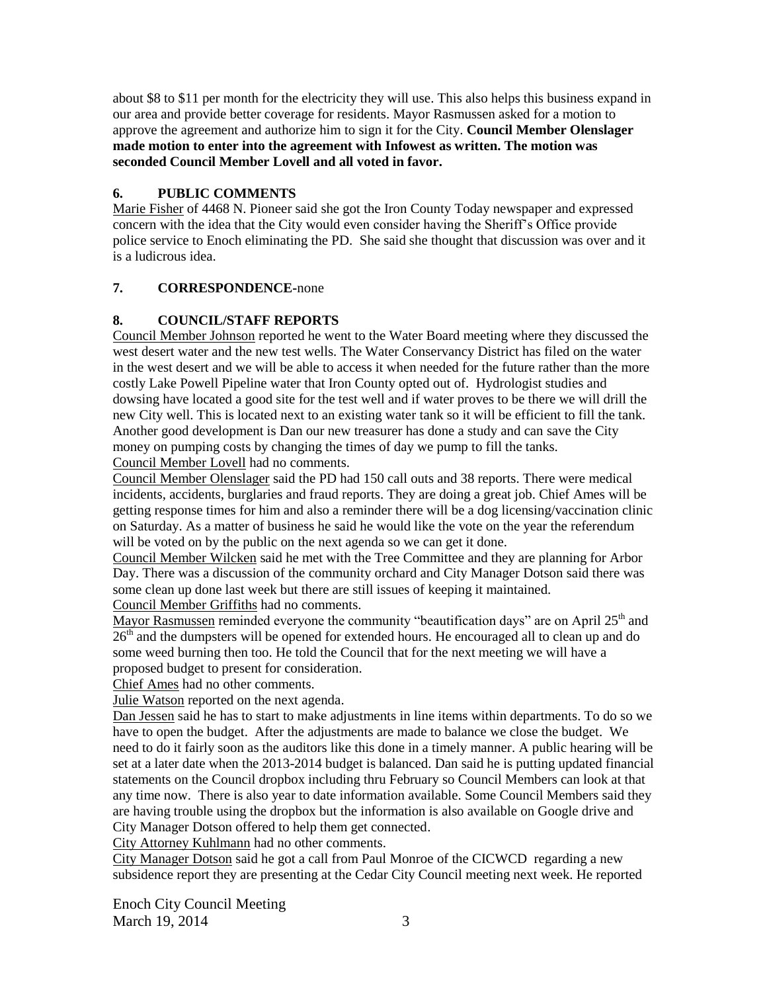about \$8 to \$11 per month for the electricity they will use. This also helps this business expand in our area and provide better coverage for residents. Mayor Rasmussen asked for a motion to approve the agreement and authorize him to sign it for the City. **Council Member Olenslager made motion to enter into the agreement with Infowest as written. The motion was seconded Council Member Lovell and all voted in favor.** 

## **6. PUBLIC COMMENTS**

Marie Fisher of 4468 N. Pioneer said she got the Iron County Today newspaper and expressed concern with the idea that the City would even consider having the Sheriff's Office provide police service to Enoch eliminating the PD. She said she thought that discussion was over and it is a ludicrous idea.

## **7. CORRESPONDENCE-**none

# **8. COUNCIL/STAFF REPORTS**

Council Member Johnson reported he went to the Water Board meeting where they discussed the west desert water and the new test wells. The Water Conservancy District has filed on the water in the west desert and we will be able to access it when needed for the future rather than the more costly Lake Powell Pipeline water that Iron County opted out of. Hydrologist studies and dowsing have located a good site for the test well and if water proves to be there we will drill the new City well. This is located next to an existing water tank so it will be efficient to fill the tank. Another good development is Dan our new treasurer has done a study and can save the City money on pumping costs by changing the times of day we pump to fill the tanks.

Council Member Lovell had no comments.

Council Member Olenslager said the PD had 150 call outs and 38 reports. There were medical incidents, accidents, burglaries and fraud reports. They are doing a great job. Chief Ames will be getting response times for him and also a reminder there will be a dog licensing/vaccination clinic on Saturday. As a matter of business he said he would like the vote on the year the referendum will be voted on by the public on the next agenda so we can get it done.

Council Member Wilcken said he met with the Tree Committee and they are planning for Arbor Day. There was a discussion of the community orchard and City Manager Dotson said there was some clean up done last week but there are still issues of keeping it maintained.

Council Member Griffiths had no comments.

Mayor Rasmussen reminded everyone the community "beautification days" are on April 25<sup>th</sup> and  $26<sup>th</sup>$  and the dumpsters will be opened for extended hours. He encouraged all to clean up and do some weed burning then too. He told the Council that for the next meeting we will have a proposed budget to present for consideration.

Chief Ames had no other comments.

Julie Watson reported on the next agenda.

Dan Jessen said he has to start to make adjustments in line items within departments. To do so we have to open the budget. After the adjustments are made to balance we close the budget. We need to do it fairly soon as the auditors like this done in a timely manner. A public hearing will be set at a later date when the 2013-2014 budget is balanced. Dan said he is putting updated financial statements on the Council dropbox including thru February so Council Members can look at that any time now. There is also year to date information available. Some Council Members said they are having trouble using the dropbox but the information is also available on Google drive and City Manager Dotson offered to help them get connected.

City Attorney Kuhlmann had no other comments.

City Manager Dotson said he got a call from Paul Monroe of the CICWCD regarding a new subsidence report they are presenting at the Cedar City Council meeting next week. He reported

Enoch City Council Meeting March 19, 2014 3